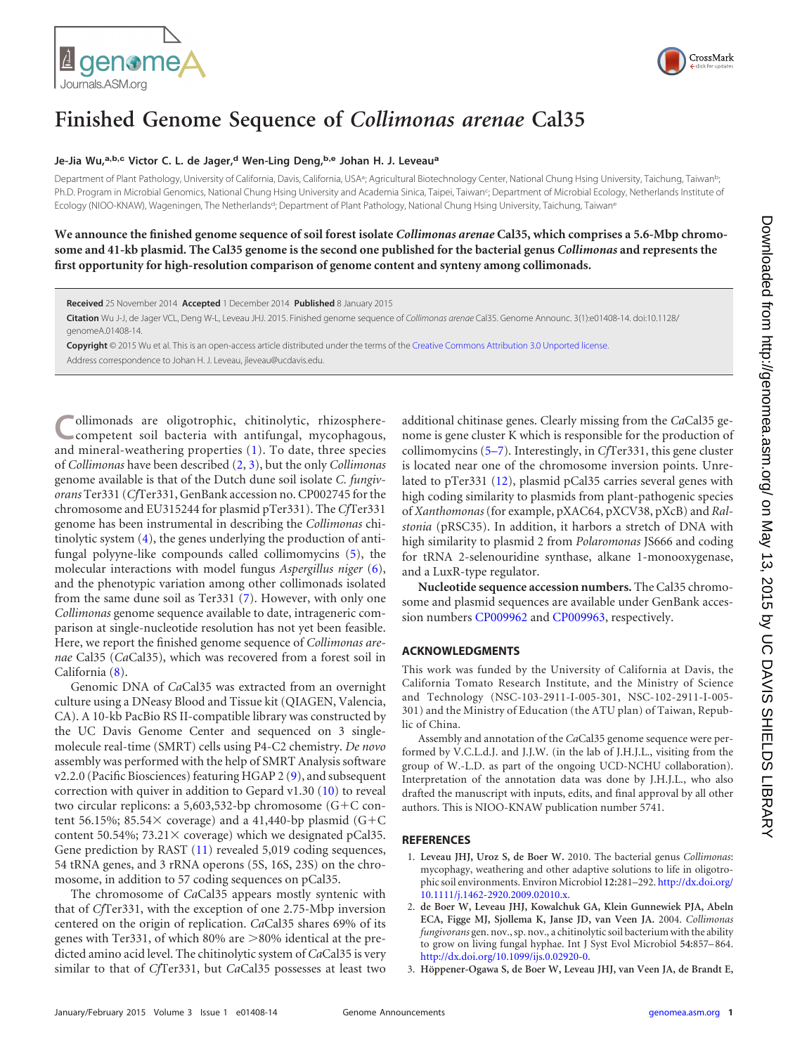



## **Finished Genome Sequence of** *Collimonas arenae* **Cal35**

## **Je-Jia Wu,a,b,c Victor C. L. de Jager,<sup>d</sup> Wen-Ling Deng,b,e Johan H. J. Leveau<sup>a</sup>**

Department of Plant Pathology, University of California, Davis, California, USAª; Agricultural Biotechnology Center, National Chung Hsing University, Taichung, Taiwan<sup>b</sup>; Ph.D. Program in Microbial Genomics, National Chung Hsing University and Academia Sinica, Taipei, Taiwan<sup>c</sup>; Department of Microbial Ecology, Netherlands Institute of Ecology (NIOO-KNAW), Wageningen, The Netherlands<sup>d</sup>; Department of Plant Pathology, National Chung Hsing University, Taichung, Taiwane

**We announce the finished genome sequence of soil forest isolate** *Collimonas arenae* **Cal35, which comprises a 5.6-Mbp chromosome and 41-kb plasmid. The Cal35 genome is the second one published for the bacterial genus** *Collimonas* **and represents the first opportunity for high-resolution comparison of genome content and synteny among collimonads.**

**Received** 25 November 2014 **Accepted** 1 December 2014 **Published** 8 January 2015

**Citation** Wu J-J, de Jager VCL, Deng W-L, Leveau JHJ. 2015. Finished genome sequence of *Collimonas arenae* Cal35. Genome Announc. 3(1):e01408-14. doi:10.1128/ genomeA.01408-14.

**Copyright** © 2015 Wu et al. This is an open-access article distributed under the terms of the Creative Commons Attribution 3.0 Unported license.

Address correspondence to Johan H. J. Leveau, jleveau@ucdavis.edu.

**C**ollimonads are oligotrophic, chitinolytic, rhizosphere-competent soil bacteria with antifungal, mycophagous, and mineral-weathering properties [\(1\)](#page-0-0). To date, three species of *Collimonas* have been described [\(2,](#page-0-1) [3\)](#page-0-2), but the only *Collimonas* genome available is that of the Dutch dune soil isolate *C. fungivorans* Ter331 (*Cf*Ter331, GenBank accession no. CP002745 for the chromosome and EU315244 for plasmid pTer331). The *Cf*Ter331 genome has been instrumental in describing the *Collimonas* chitinolytic system [\(4\)](#page-1-0), the genes underlying the production of antifungal polyyne-like compounds called collimomycins [\(5\)](#page-1-1), the molecular interactions with model fungus *Aspergillus niger* [\(6\)](#page-1-2), and the phenotypic variation among other collimonads isolated from the same dune soil as Ter331 [\(7\)](#page-1-3). However, with only one *Collimonas* genome sequence available to date, intrageneric comparison at single-nucleotide resolution has not yet been feasible. Here, we report the finished genome sequence of *Collimonas arenae* Cal35 (*Ca*Cal35), which was recovered from a forest soil in California [\(8\)](#page-1-4).

Genomic DNA of *Ca*Cal35 was extracted from an overnight culture using a DNeasy Blood and Tissue kit (QIAGEN, Valencia, CA). A 10-kb PacBio RS II-compatible library was constructed by the UC Davis Genome Center and sequenced on 3 singlemolecule real-time (SMRT) cells using P4-C2 chemistry. *De novo* assembly was performed with the help of SMRT Analysis software v2.2.0 (Pacific Biosciences) featuring HGAP 2 [\(9\)](#page-1-5), and subsequent correction with quiver in addition to Gepard v1.30 [\(10\)](#page-1-6) to reveal two circular replicons: a 5,603,532-bp chromosome (G-C content 56.15%; 85.54 $\times$  coverage) and a 41,440-bp plasmid (G+C content 50.54%;  $73.21 \times$  coverage) which we designated pCal35. Gene prediction by RAST [\(11\)](#page-1-7) revealed 5,019 coding sequences, 54 tRNA genes, and 3 rRNA operons (5S, 16S, 23S) on the chromosome, in addition to 57 coding sequences on pCal35.

The chromosome of *Ca*Cal35 appears mostly syntenic with that of *Cf*Ter331, with the exception of one 2.75-Mbp inversion centered on the origin of replication. *Ca*Cal35 shares 69% of its genes with Ter331, of which 80% are  $>$ 80% identical at the predicted amino acid level. The chitinolytic system of *Ca*Cal35 is very similar to that of *Cf*Ter331, but *Ca*Cal35 possesses at least two

additional chitinase genes. Clearly missing from the *Ca*Cal35 genome is gene cluster K which is responsible for the production of collimomycins [\(5](#page-1-1)[–](#page-1-2)[7\)](#page-1-3). Interestingly, in *Cf*Ter331, this gene cluster is located near one of the chromosome inversion points. Unrelated to pTer331 [\(12\)](#page-1-8), plasmid pCal35 carries several genes with high coding similarity to plasmids from plant-pathogenic species of *Xanthomonas*(for example, pXAC64, pXCV38, pXcB) and *Ralstonia* (pRSC35). In addition, it harbors a stretch of DNA with high similarity to plasmid 2 from *Polaromonas* JS666 and coding for tRNA 2-selenouridine synthase, alkane 1-monooxygenase, and a LuxR-type regulator.

**Nucleotide sequence accession numbers.** The Cal35 chromosome and plasmid sequences are available under GenBank accession numbers CP009962 and CP009963, respectively.

## **ACKNOWLEDGMENTS**

This work was funded by the University of California at Davis, the California Tomato Research Institute, and the Ministry of Science and Technology (NSC-103-2911-I-005-301, NSC-102-2911-I-005- 301) and the Ministry of Education (the ATU plan) of Taiwan, Republic of China.

Assembly and annotation of the *Ca*Cal35 genome sequence were performed by V.C.L.d.J. and J.J.W. (in the lab of J.H.J.L., visiting from the group of W.-L.D. as part of the ongoing UCD-NCHU collaboration). Interpretation of the annotation data was done by J.H.J.L., who also drafted the manuscript with inputs, edits, and final approval by all other authors. This is NIOO-KNAW publication number 5741.

## <span id="page-0-0"></span>**REFERENCES**

- 1. **Leveau JHJ, Uroz S, de Boer W.** 2010. The bacterial genus *Collimonas*: mycophagy, weathering and other adaptive solutions to life in oligotrophic soil environments. Environ Microbiol **12:**281–292. http://dx.doi.org/ 10.1111/j.1462-2920.2009.02010.x.
- <span id="page-0-1"></span>2. **de Boer W, Leveau JHJ, Kowalchuk GA, Klein Gunnewiek PJA, Abeln ECA, Figge MJ, Sjollema K, Janse JD, van Veen JA.** 2004. *Collimonas fungivorans* gen. nov., sp. nov., a chitinolytic soil bacterium with the ability to grow on living fungal hyphae. Int J Syst Evol Microbiol **54:**857–864. http://dx.doi.org/10.1099/ijs.0.02920-0.
- <span id="page-0-2"></span>3. **Höppener-Ogawa S, de Boer W, Leveau JHJ, van Veen JA, de Brandt E,**